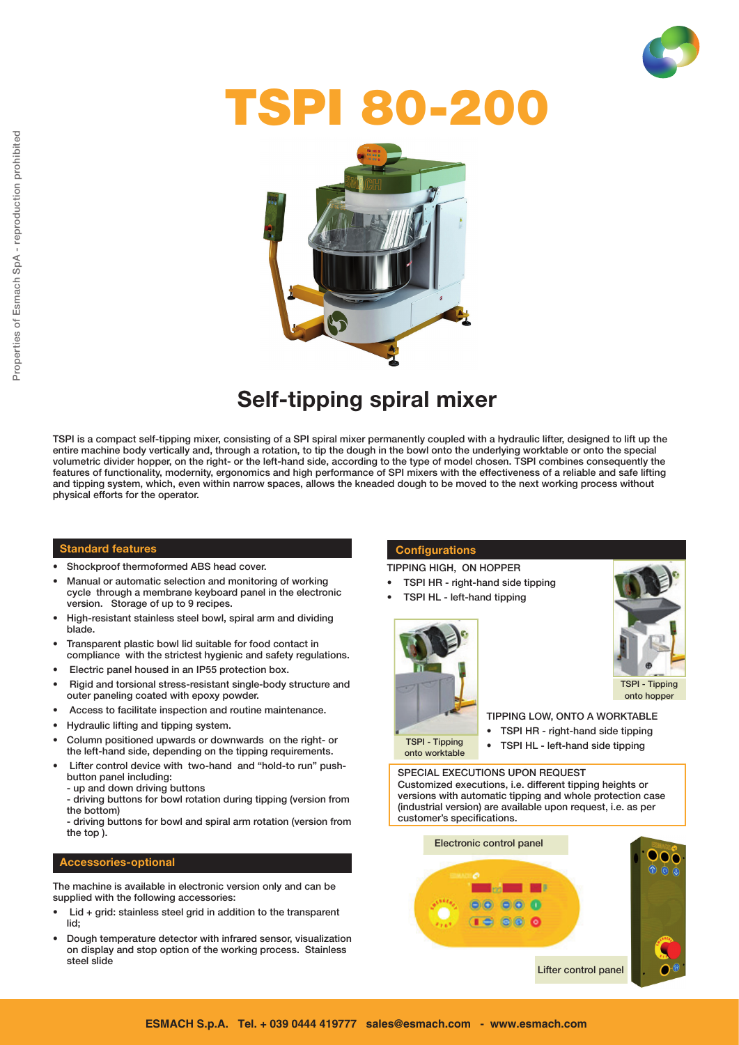

# TSPI 80-200



# Self-tipping spiral mixer

TSPI is a compact self-tipping mixer, consisting of a SPI spiral mixer permanently coupled with a hydraulic lifter, designed to lift up the entire machine body vertically and, through a rotation, to tip the dough in the bowl onto the underlying worktable or onto the special volumetric divider hopper, on the right- or the left-hand side, according to the type of model chosen. TSPI combines consequently the features of functionality, modernity, ergonomics and high performance of SPI mixers with the effectiveness of a reliable and safe lifting and tipping system, which, even within narrow spaces, allows the kneaded dough to be moved to the next working process without physical efforts for the operator.

#### Standard features

- Shockproof thermoformed ABS head cover.
- Manual or automatic selection and monitoring of working cycle through a membrane keyboard panel in the electronic version. Storage of up to 9 recipes.
- High-resistant stainless steel bowl, spiral arm and dividing blade.
- Transparent plastic bowl lid suitable for food contact in compliance with the strictest hygienic and safety regulations.
- Electric panel housed in an IP55 protection box.
- Rigid and torsional stress-resistant single-body structure and outer paneling coated with epoxy powder.
- Access to facilitate inspection and routine maintenance.
- Hydraulic lifting and tipping system.
- Column positioned upwards or downwards on the right- or the left-hand side, depending on the tipping requirements.
- Lifter control device with two-hand and "hold-to run" pushbutton panel including:
	- up and down driving buttons
	- driving buttons for bowl rotation during tipping (version from the bottom)

- driving buttons for bowl and spiral arm rotation (version from the top ).

#### Accessories-optional

The machine is available in electronic version only and can be supplied with the following accessories:

- $Lid + grid$ : stainless steel grid in addition to the transparent lid;
- Dough temperature detector with infrared sensor, visualization on display and stop option of the working process. Stainless steel slide

#### **Configurations**

TIPPING HIGH, ON HOPPER

- TSPI HR right-hand side tipping
- TSPI HL left-hand tipping





- TIPPING LOW, ONTO A WORKTABLE
- TSPI HR right-hand side tipping
- 

onto worktable

• TSPI HL - left-hand side tipping

SPECIAL EXECUTIONS UPON REQUEST Customized executions, i.e. different tipping heights or versions with automatic tipping and whole protection case (industrial version) are available upon request, i.e. as per customer's specifications.

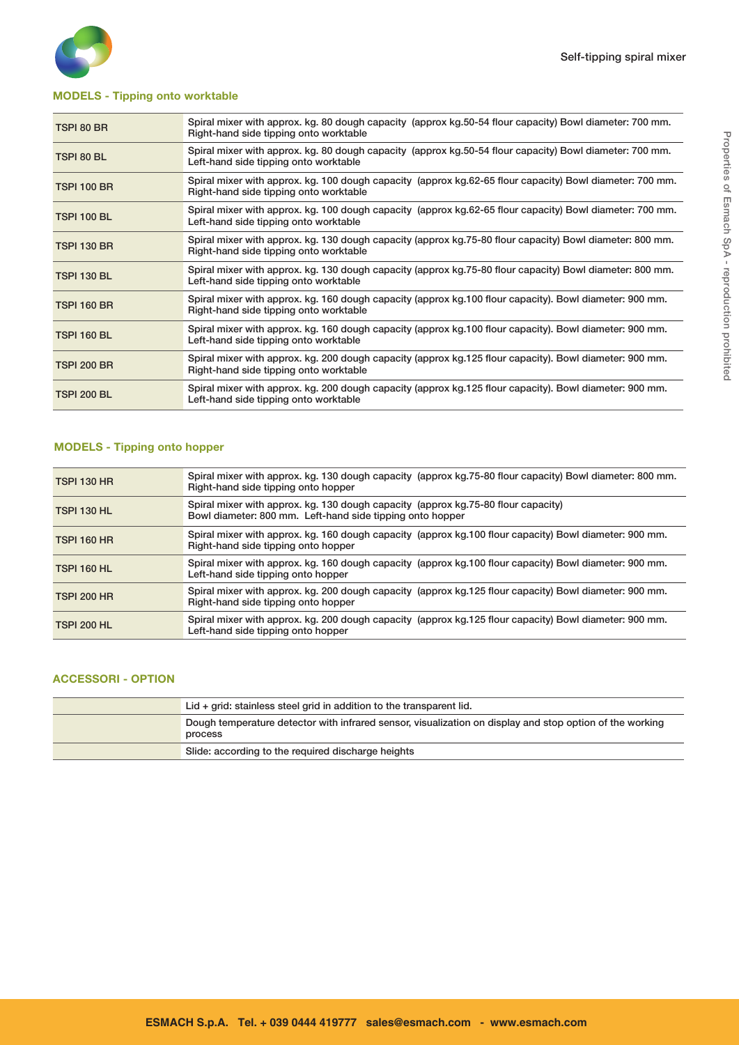

#### MODELS - Tipping onto worktable

| TSPI 80 BR         | Spiral mixer with approx. kg. 80 dough capacity (approx kg. 50-54 flour capacity) Bowl diameter: 700 mm.<br>Right-hand side tipping onto worktable |
|--------------------|----------------------------------------------------------------------------------------------------------------------------------------------------|
| TSPI 80 BL         | Spiral mixer with approx. kg. 80 dough capacity (approx kg.50-54 flour capacity) Bowl diameter: 700 mm.<br>Left-hand side tipping onto worktable   |
| <b>TSPI 100 BR</b> | Spiral mixer with approx. kg. 100 dough capacity (approx kg.62-65 flour capacity) Bowl diameter: 700 mm.<br>Right-hand side tipping onto worktable |
| <b>TSPI 100 BL</b> | Spiral mixer with approx. kg. 100 dough capacity (approx kg.62-65 flour capacity) Bowl diameter: 700 mm.<br>Left-hand side tipping onto worktable  |
| <b>TSPI 130 BR</b> | Spiral mixer with approx. kg. 130 dough capacity (approx kg.75-80 flour capacity) Bowl diameter: 800 mm.<br>Right-hand side tipping onto worktable |
| <b>TSPI 130 BL</b> | Spiral mixer with approx. kg. 130 dough capacity (approx kg.75-80 flour capacity) Bowl diameter: 800 mm.<br>Left-hand side tipping onto worktable  |
| <b>TSPI 160 BR</b> | Spiral mixer with approx. kg. 160 dough capacity (approx kg. 100 flour capacity). Bowl diameter: 900 mm.<br>Right-hand side tipping onto worktable |
| <b>TSPI 160 BL</b> | Spiral mixer with approx. kg. 160 dough capacity (approx kg. 100 flour capacity). Bowl diameter: 900 mm.<br>Left-hand side tipping onto worktable  |
| <b>TSPI 200 BR</b> | Spiral mixer with approx. kg. 200 dough capacity (approx kg. 125 flour capacity). Bowl diameter: 900 mm.<br>Right-hand side tipping onto worktable |
| <b>TSPI 200 BL</b> | Spiral mixer with approx. kg. 200 dough capacity (approx kg. 125 flour capacity). Bowl diameter: 900 mm.<br>Left-hand side tipping onto worktable  |

#### MODELS - Tipping onto hopper

| <b>TSPI 130 HR</b> | Spiral mixer with approx. kg. 130 dough capacity (approx kg. 75-80 flour capacity) Bowl diameter: 800 mm.<br>Right-hand side tipping onto hopper |
|--------------------|--------------------------------------------------------------------------------------------------------------------------------------------------|
| <b>TSPI 130 HL</b> | Spiral mixer with approx. kg. 130 dough capacity (approx kg. 75-80 flour capacity)<br>Bowl diameter: 800 mm. Left-hand side tipping onto hopper  |
| <b>TSPI 160 HR</b> | Spiral mixer with approx. kg. 160 dough capacity (approx kg. 100 flour capacity) Bowl diameter: 900 mm.<br>Right-hand side tipping onto hopper   |
| <b>TSPI 160 HL</b> | Spiral mixer with approx. kg. 160 dough capacity (approx kg. 100 flour capacity) Bowl diameter: 900 mm.<br>Left-hand side tipping onto hopper    |
| <b>TSPI 200 HR</b> | Spiral mixer with approx. kg. 200 dough capacity (approx kg. 125 flour capacity) Bowl diameter: 900 mm.<br>Right-hand side tipping onto hopper   |
| <b>TSPI 200 HL</b> | Spiral mixer with approx. kg. 200 dough capacity (approx kg. 125 flour capacity) Bowl diameter: 900 mm.<br>Left-hand side tipping onto hopper    |

#### ACCESSORI - OPTION

| Lid $+$ grid: stainless steel grid in addition to the transparent lid.                                              |
|---------------------------------------------------------------------------------------------------------------------|
| Dough temperature detector with infrared sensor, visualization on display and stop option of the working<br>process |
| Slide: according to the required discharge heights                                                                  |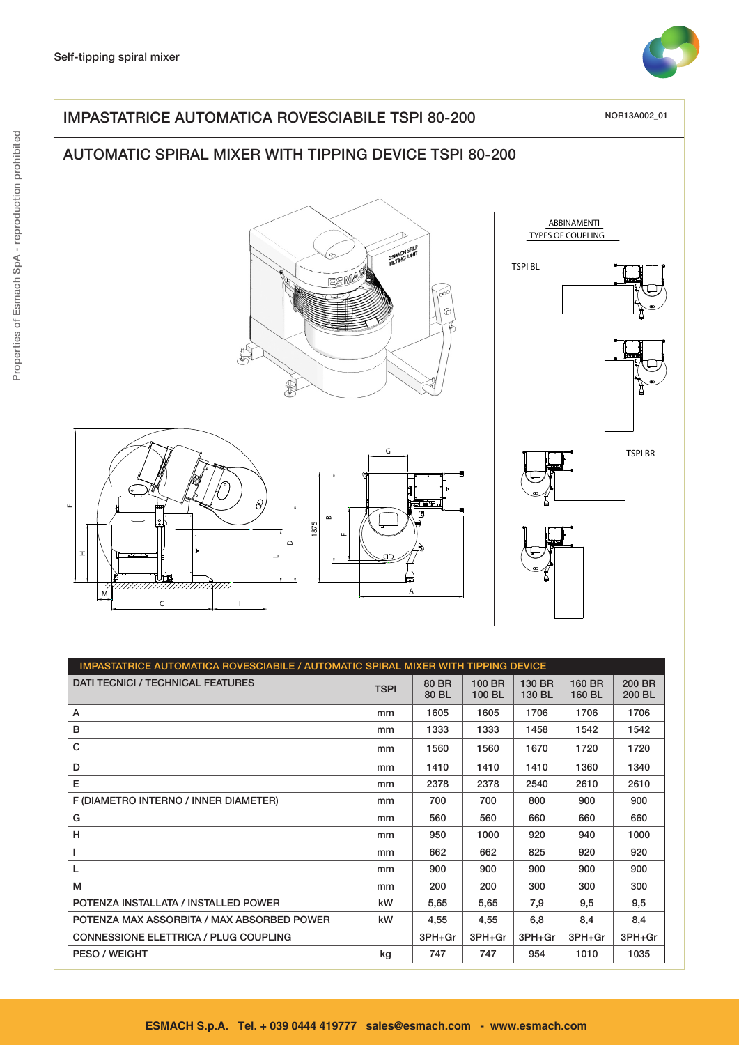

## IMPASTATRICE AUTOMATICA ROVESCIABILE TSPI 80-200

NOR13A002\_01

# AUTOMATIC SPIRAL MIXER WITH TIPPING DEVICE TSPI 80-200







ABBINAMENTI TYPES OF COUPLING





| IMPASTATRICE AUTOMATICA ROVESCIABILE / AUTOMATIC SPIRAL MIXER WITH TIPPING DEVICE |             |                |                  |                  |                  |                  |  |
|-----------------------------------------------------------------------------------|-------------|----------------|------------------|------------------|------------------|------------------|--|
| <b>DATI TECNICI / TECHNICAL FEATURES</b>                                          | <b>TSPI</b> | 80 BR<br>80 BL | 100 BR<br>100 BL | 130 BR<br>130 BL | 160 BR<br>160 BL | 200 BR<br>200 BL |  |
| Α                                                                                 | mm          | 1605           | 1605             | 1706             | 1706             | 1706             |  |
| в                                                                                 | mm          | 1333           | 1333             | 1458             | 1542             | 1542             |  |
| C                                                                                 | mm          | 1560           | 1560             | 1670             | 1720             | 1720             |  |
| D                                                                                 | mm          | 1410           | 1410             | 1410             | 1360             | 1340             |  |
| Е                                                                                 | mm          | 2378           | 2378             | 2540             | 2610             | 2610             |  |
| F (DIAMETRO INTERNO / INNER DIAMETER)                                             | mm          | 700            | 700              | 800              | 900              | 900              |  |
| G                                                                                 | mm          | 560            | 560              | 660              | 660              | 660              |  |
| н                                                                                 | mm          | 950            | 1000             | 920              | 940              | 1000             |  |
| L                                                                                 | mm          | 662            | 662              | 825              | 920              | 920              |  |
| L                                                                                 | mm          | 900            | 900              | 900              | 900              | 900              |  |
| м                                                                                 | mm          | 200            | 200              | 300              | 300              | 300              |  |
| POTENZA INSTALLATA / INSTALLED POWER                                              | kW          | 5,65           | 5,65             | 7,9              | 9,5              | 9,5              |  |
| POTENZA MAX ASSORBITA / MAX ABSORBED POWER                                        | kW          | 4,55           | 4,55             | 6,8              | 8,4              | 8,4              |  |
| <b>CONNESSIONE ELETTRICA / PLUG COUPLING</b>                                      |             | 3PH+Gr         | 3PH+Gr           | 3PH+Gr           | 3PH+Gr           | 3PH+Gr           |  |
| <b>PESO / WEIGHT</b>                                                              | kg          | 747            | 747              | 954              | 1010             | 1035             |  |